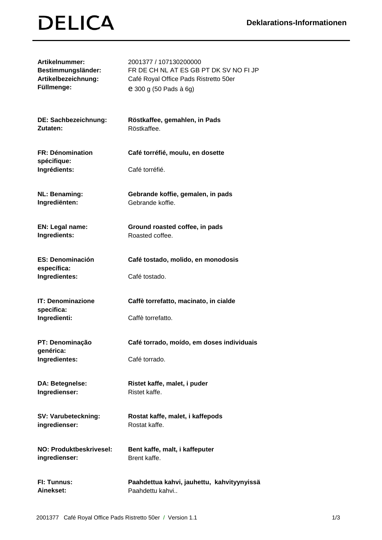## **DELICA**

| <b>Artikelnummer:</b>                  | 2001377 / 107130200000                     |
|----------------------------------------|--------------------------------------------|
| Bestimmungsländer:                     | FR DE CH NL AT ES GB PT DK SV NO FI JP     |
| Artikelbezeichnung:                    | Café Royal Office Pads Ristretto 50er      |
| Füllmenge:                             | e 300 g (50 Pads à 6g)                     |
| DE: Sachbezeichnung:                   | Röstkaffee, gemahlen, in Pads              |
| Zutaten:                               | Röstkaffee.                                |
| <b>FR: Dénomination</b><br>spécifique: | Café torréfié, moulu, en dosette           |
| Ingrédients:                           | Café torréfié.                             |
| <b>NL: Benaming:</b>                   | Gebrande koffie, gemalen, in pads          |
| Ingrediënten:                          | Gebrande koffie.                           |
| EN: Legal name:                        | Ground roasted coffee, in pads             |
| Ingredients:                           | Roasted coffee.                            |
| <b>ES: Denominación</b><br>específica: | Café tostado, molido, en monodosis         |
| Ingredientes:                          | Café tostado.                              |
| <b>IT: Denominazione</b><br>specifica: | Caffè torrefatto, macinato, in cialde      |
| Ingredienti:                           | Caffè torrefatto.                          |
| PT: Denominação<br>genérica:           | Café torrado, moído, em doses individuais  |
| Ingredientes:                          | Café torrado.                              |
| DA: Betegnelse:                        | Ristet kaffe, malet, i puder               |
| Ingredienser:                          | Ristet kaffe.                              |
| SV: Varubeteckning:                    | Rostat kaffe, malet, i kaffepods           |
| ingredienser:                          | Rostat kaffe.                              |
| <b>NO: Produktbeskrivesel:</b>         | Bent kaffe, malt, i kaffeputer             |
| ingredienser:                          | Brent kaffe.                               |
| FI: Tunnus:                            | Paahdettua kahvi, jauhettu, kahvityynyissä |
| Ainekset:                              | Paahdettu kahvi                            |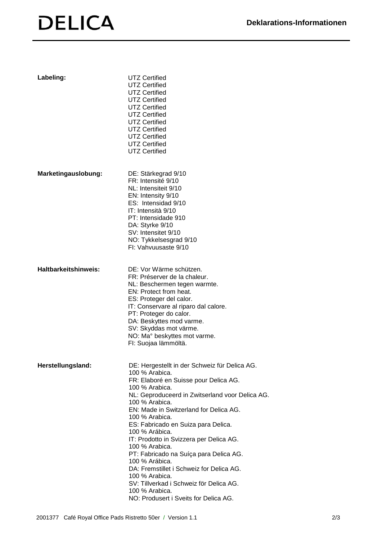## **DELICA**

| Labeling:            | <b>UTZ Certified</b><br><b>UTZ Certified</b><br><b>UTZ Certified</b><br><b>UTZ Certified</b><br><b>UTZ Certified</b><br><b>UTZ Certified</b><br><b>UTZ Certified</b><br><b>UTZ Certified</b><br><b>UTZ Certified</b><br><b>UTZ Certified</b><br><b>UTZ Certified</b>                                                                                                                                                                                                                                                                                                                                              |
|----------------------|-------------------------------------------------------------------------------------------------------------------------------------------------------------------------------------------------------------------------------------------------------------------------------------------------------------------------------------------------------------------------------------------------------------------------------------------------------------------------------------------------------------------------------------------------------------------------------------------------------------------|
| Marketingauslobung:  | DE: Stärkegrad 9/10<br>FR: Intensité 9/10<br>NL: Intensiteit 9/10<br>EN: Intensity 9/10<br>ES: Intensidad 9/10<br>IT: Intensità 9/10<br>PT: Intensidade 910<br>DA: Styrke 9/10<br>SV: Intensitet 9/10<br>NO: Tykkelsesgrad 9/10<br>FI: Vahvuusaste 9/10                                                                                                                                                                                                                                                                                                                                                           |
| Haltbarkeitshinweis: | DE: Vor Wärme schützen.<br>FR: Préserver de la chaleur.<br>NL: Beschermen tegen warmte.<br>EN: Protect from heat.<br>ES: Proteger del calor.<br>IT: Conservare al riparo dal calore.<br>PT: Proteger do calor.<br>DA: Beskyttes mod varme.<br>SV: Skyddas mot värme.<br>NO: Ma° beskyttes mot varme.<br>FI: Suojaa lämmöltä.                                                                                                                                                                                                                                                                                      |
| Herstellungsland:    | DE: Hergestellt in der Schweiz für Delica AG.<br>100 % Arabica.<br>FR: Elaboré en Suisse pour Delica AG.<br>100 % Arabica.<br>NL: Geproduceerd in Zwitserland voor Delica AG.<br>100 % Arabica.<br>EN: Made in Switzerland for Delica AG.<br>100 % Arabica.<br>ES: Fabricado en Suiza para Delica.<br>100 % Arábica.<br>IT: Prodotto in Svizzera per Delica AG.<br>100 % Arabica.<br>PT: Fabricado na Suíça para Delica AG.<br>100 % Arábica.<br>DA: Fremstillet i Schweiz for Delica AG.<br>100 % Arabica.<br>SV: Tillverkad i Schweiz för Delica AG.<br>100 % Arabica.<br>NO: Produsert i Sveits for Delica AG. |